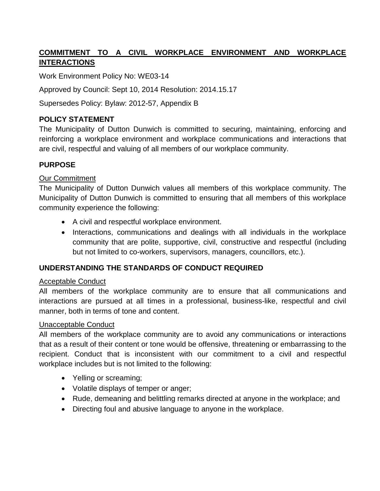# **COMMITMENT TO A CIVIL WORKPLACE ENVIRONMENT AND WORKPLACE INTERACTIONS**

Work Environment Policy No: WE03-14

Approved by Council: Sept 10, 2014 Resolution: 2014.15.17

Supersedes Policy: Bylaw: 2012-57, Appendix B

# **POLICY STATEMENT**

The Municipality of Dutton Dunwich is committed to securing, maintaining, enforcing and reinforcing a workplace environment and workplace communications and interactions that are civil, respectful and valuing of all members of our workplace community.

# **PURPOSE**

# Our Commitment

The Municipality of Dutton Dunwich values all members of this workplace community. The Municipality of Dutton Dunwich is committed to ensuring that all members of this workplace community experience the following:

- A civil and respectful workplace environment.
- Interactions, communications and dealings with all individuals in the workplace community that are polite, supportive, civil, constructive and respectful (including but not limited to co-workers, supervisors, managers, councillors, etc.).

#### **UNDERSTANDING THE STANDARDS OF CONDUCT REQUIRED**

#### Acceptable Conduct

All members of the workplace community are to ensure that all communications and interactions are pursued at all times in a professional, business-like, respectful and civil manner, both in terms of tone and content.

#### Unacceptable Conduct

All members of the workplace community are to avoid any communications or interactions that as a result of their content or tone would be offensive, threatening or embarrassing to the recipient. Conduct that is inconsistent with our commitment to a civil and respectful workplace includes but is not limited to the following:

- Yelling or screaming;
- Volatile displays of temper or anger;
- Rude, demeaning and belittling remarks directed at anyone in the workplace; and
- Directing foul and abusive language to anyone in the workplace.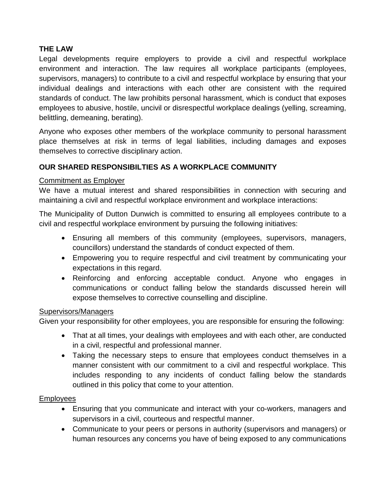# **THE LAW**

Legal developments require employers to provide a civil and respectful workplace environment and interaction. The law requires all workplace participants (employees, supervisors, managers) to contribute to a civil and respectful workplace by ensuring that your individual dealings and interactions with each other are consistent with the required standards of conduct. The law prohibits personal harassment, which is conduct that exposes employees to abusive, hostile, uncivil or disrespectful workplace dealings (yelling, screaming, belittling, demeaning, berating).

Anyone who exposes other members of the workplace community to personal harassment place themselves at risk in terms of legal liabilities, including damages and exposes themselves to corrective disciplinary action.

# **OUR SHARED RESPONSIBILTIES AS A WORKPLACE COMMUNITY**

# Commitment as Employer

We have a mutual interest and shared responsibilities in connection with securing and maintaining a civil and respectful workplace environment and workplace interactions:

The Municipality of Dutton Dunwich is committed to ensuring all employees contribute to a civil and respectful workplace environment by pursuing the following initiatives:

- Ensuring all members of this community (employees, supervisors, managers, councillors) understand the standards of conduct expected of them.
- Empowering you to require respectful and civil treatment by communicating your expectations in this regard.
- Reinforcing and enforcing acceptable conduct. Anyone who engages in communications or conduct falling below the standards discussed herein will expose themselves to corrective counselling and discipline.

#### Supervisors/Managers

Given your responsibility for other employees, you are responsible for ensuring the following:

- That at all times, your dealings with employees and with each other, are conducted in a civil, respectful and professional manner.
- Taking the necessary steps to ensure that employees conduct themselves in a manner consistent with our commitment to a civil and respectful workplace. This includes responding to any incidents of conduct falling below the standards outlined in this policy that come to your attention.

#### Employees

- Ensuring that you communicate and interact with your co-workers, managers and supervisors in a civil, courteous and respectful manner.
- Communicate to your peers or persons in authority (supervisors and managers) or human resources any concerns you have of being exposed to any communications